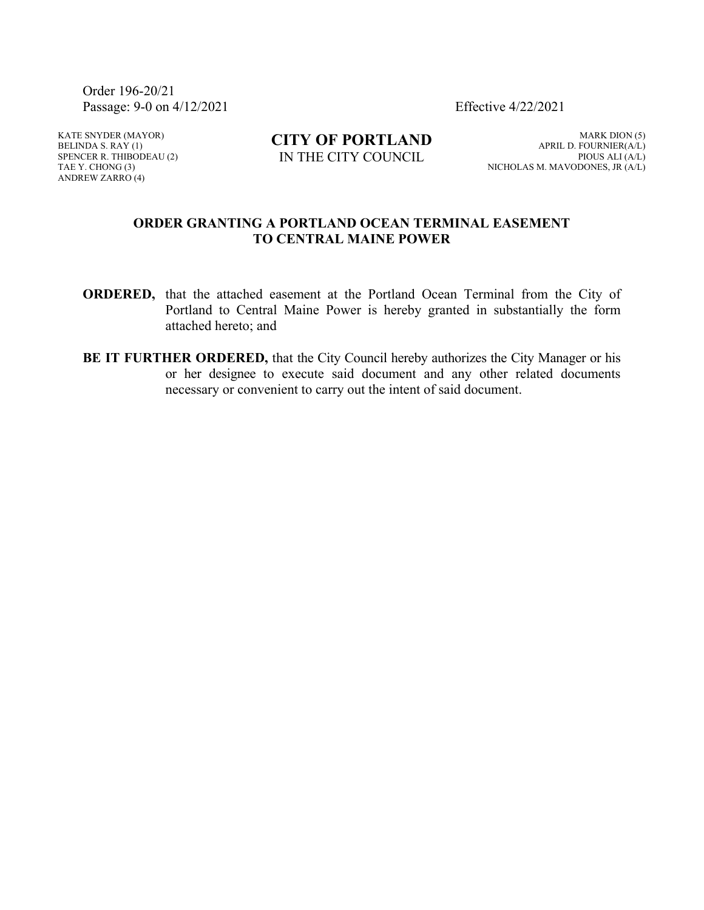Order 196-20/21 Passage: 9-0 on 4/12/2021 Effective 4/22/2021

KATE SNYDER (MAYOR) BELINDA S.  $RAY(1)$ SPENCER R. THIBODEAU (2) TAE Y. CHONG (3) ANDREW ZARRO (4)

**CITY OF PORTLAND** IN THE CITY COUNCIL

MARK DION (5) APRIL D. FOURNIER(A/L) PIOUS ALI (A/L) NICHOLAS M. MAVODONES, JR (A/L)

## **ORDER GRANTING A PORTLAND OCEAN TERMINAL EASEMENT TO CENTRAL MAINE POWER**

- **ORDERED,** that the attached easement at the Portland Ocean Terminal from the City of Portland to Central Maine Power is hereby granted in substantially the form attached hereto; and
- **BE IT FURTHER ORDERED,** that the City Council hereby authorizes the City Manager or his or her designee to execute said document and any other related documents necessary or convenient to carry out the intent of said document.